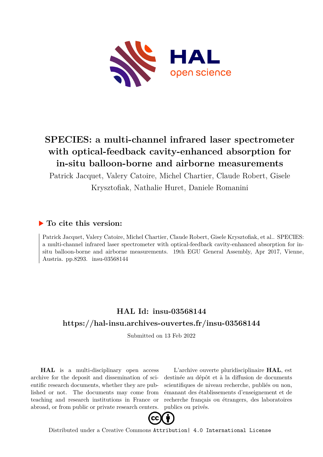

## **SPECIES: a multi-channel infrared laser spectrometer with optical-feedback cavity-enhanced absorption for in-situ balloon-borne and airborne measurements**

Patrick Jacquet, Valery Catoire, Michel Chartier, Claude Robert, Gisele Krysztofiak, Nathalie Huret, Daniele Romanini

## **To cite this version:**

Patrick Jacquet, Valery Catoire, Michel Chartier, Claude Robert, Gisele Krysztofiak, et al.. SPECIES: a multi-channel infrared laser spectrometer with optical-feedback cavity-enhanced absorption for insitu balloon-borne and airborne measurements. 19th EGU General Assembly, Apr 2017, Vienne, Austria. pp.8293. insu-03568144

## **HAL Id: insu-03568144 <https://hal-insu.archives-ouvertes.fr/insu-03568144>**

Submitted on 13 Feb 2022

**HAL** is a multi-disciplinary open access archive for the deposit and dissemination of scientific research documents, whether they are published or not. The documents may come from teaching and research institutions in France or abroad, or from public or private research centers.

L'archive ouverte pluridisciplinaire **HAL**, est destinée au dépôt et à la diffusion de documents scientifiques de niveau recherche, publiés ou non, émanant des établissements d'enseignement et de recherche français ou étrangers, des laboratoires publics ou privés.



Distributed under a Creative Commons [Attribution| 4.0 International License](http://creativecommons.org/licenses/by/4.0/)